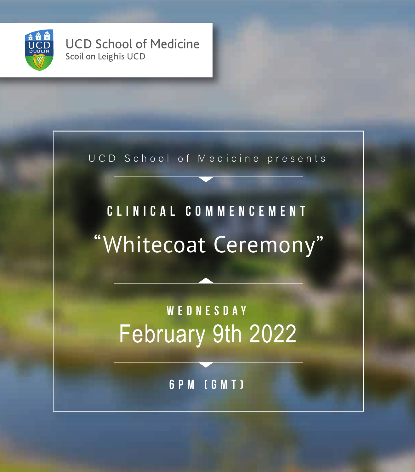

**UCD School of Medicine** Scoil on Leighis UCD

UCD School of Medicine presents

## "Whitecoat Ceremony" **Clinical Commencement**

February 9th 2022 **Wednesday**

**6pm (GMT)**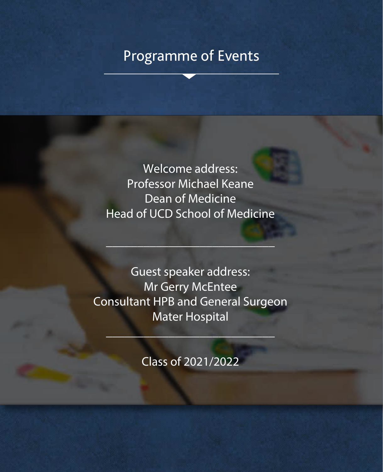## Programme of Events

Welcome address: Professor Michael Keane Dean of Medicine Head of UCD School of Medicine

\_\_\_\_\_\_\_\_\_\_\_\_\_\_\_\_\_\_\_\_\_\_\_\_\_\_\_

Guest speaker address: Mr Gerry McEntee Consultant HPB and General Surgeon Mater Hospital

Class of 2021/2022

 $\mathcal{L}=\mathcal{L}=\mathcal{L}=\mathcal{L}=\mathcal{L}=\mathcal{L}=\mathcal{L}=\mathcal{L}=\mathcal{L}=\mathcal{L}=\mathcal{L}=\mathcal{L}=\mathcal{L}=\mathcal{L}=\mathcal{L}=\mathcal{L}=\mathcal{L}=\mathcal{L}=\mathcal{L}=\mathcal{L}=\mathcal{L}=\mathcal{L}=\mathcal{L}=\mathcal{L}=\mathcal{L}=\mathcal{L}=\mathcal{L}=\mathcal{L}=\mathcal{L}=\mathcal{L}=\mathcal{L}=\mathcal{L}=\mathcal{L}=\mathcal{L}=\mathcal{L}=\mathcal{L}=\mathcal{$